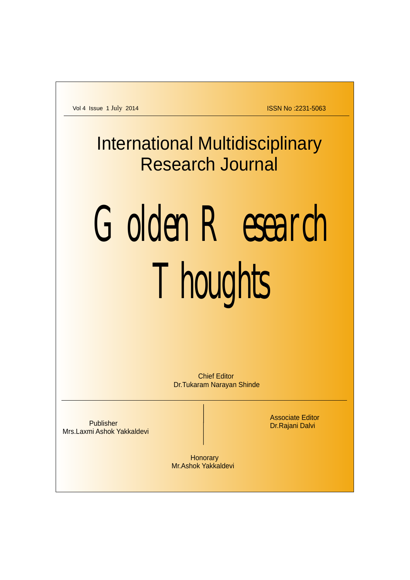ISSN No :2231-5063

**International Multidisciplinary** Research Journal

# Golden Research Thoughts

**Honorary** Mr.Ashok Yakkaldevi

Chief Editor Dr.Tukaram Narayan Shinde

Publisher Mrs.Laxmi Ashok Yakkaldevi Associate Editor Dr.Rajani Dalvi

Vol 4 Issue 1 July 2014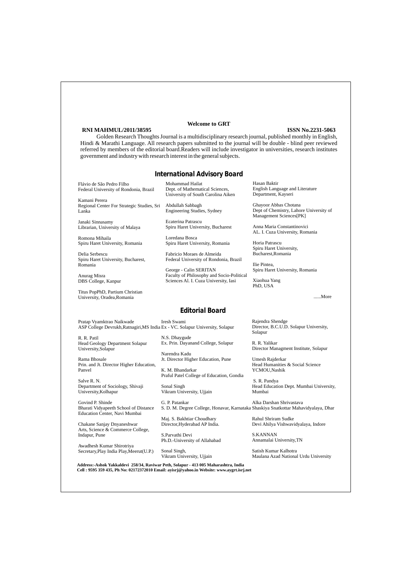## *Editorial Board*

## *International Advisory Board*

#### **Welcome to GRT**

#### **ISSN No.2231-5063**

Golden Research Thoughts Journal is a multidisciplinary research journal, published monthly in English, Hindi & Marathi Language. All research papers submitted to the journal will be double - blind peer reviewed referred by members of the editorial board.Readers will include investigator in universities, research institutes government and industry with research interest in the general subjects.

### **RNI MAHMUL/2011/38595**

**Address:-Ashok Yakkaldevi 258/34, Raviwar Peth, Solapur - 413 005 Maharashtra, India Cell : 9595 359 435, Ph No: 02172372010 Email: ayisrj@yahoo.in Website: www.aygrt.isrj.net**

R. R. Patil Head Geology Department Solapur University,Solapur

Rama Bhosale Prin. and Jt. Director Higher Education, Panvel

Salve R. N. Department of Sociology, Shivaji University,Kolhapur

Pratap Vyamktrao Naikwade ASP College Devrukh,Ratnagiri,MS India Ex - VC. Solapur University, Solapur Iresh Swami

Govind P. Shinde Bharati Vidyapeeth School of Distance Education Center, Navi Mumbai

Chakane Sanjay Dnyaneshwar Arts, Science & Commerce College, Indapur, Pune

Awadhesh Kumar Shirotriya Secretary,Play India Play,Meerut(U.P.) N.S. Dhaygude Ex. Prin. Dayanand College, Solapur

Narendra Kadu Jt. Director Higher Education, Pune

K. M. Bhandarkar Praful Patel College of Education, Gondia

Sonal Singh Vikram University, Ujjain

Maj. S. Bakhtiar Choudhary Director,Hyderabad AP India.

S.Parvathi Devi

Ph.D.-University of Allahabad

Sonal Singh, Vikram University, Ujjain Rajendra Shendge Director, B.C.U.D. Solapur University, Solapur

G. P. Patankar S. D. M. Degree College, Honavar, Karnataka Shaskiya Snatkottar Mahavidyalaya, Dhar Alka Darshan Shrivastava

R. R. Yalikar Director Managment Institute, Solapur

Umesh Rajderkar Head Humanities & Social Science YCMOU,Nashik

 S. R. Pandya Head Education Dept. Mumbai University, Mumbai

Rahul Shriram Sudke Devi Ahilya Vishwavidyalaya, Indore

#### S.KANNAN

Annamalai University,TN

Satish Kumar Kalhotra Maulana Azad National Urdu University

Mohammad Hailat

Dept. of Mathematical Sciences, University of South Carolina Aiken

Abdullah Sabbagh Engineering Studies, Sydney

Ecaterina Patrascu Spiru Haret University, Bucharest

Loredana Bosca Spiru Haret University, Romania

Fabricio Moraes de Almeida Federal University of Rondonia, Brazil

George - Calin SERITAN Faculty of Philosophy and Socio-Political Sciences Al. I. Cuza University, Iasi

Hasan Baktir English Language and Literature Department, Kayseri

Ghayoor Abbas Chotana Dept of Chemistry, Lahore University of Management Sciences[PK]

Anna Maria Constantinovici AL. I. Cuza University, Romania

Horia Patrascu Spiru Haret University, Bucharest,Romania

Ilie Pintea, Spiru Haret University, Romania

Xiaohua Yang PhD, USA

#### ......More

Flávio de São Pedro Filho Federal University of Rondonia, Brazil

Kamani Perera Regional Center For Strategic Studies, Sri Lanka

Janaki Sinnasamy Librarian, University of Malaya

Romona Mihaila Spiru Haret University, Romania

Delia Serbescu Spiru Haret University, Bucharest, Romania

Anurag Misra DBS College, Kanpur

Titus PopPhD, Partium Christian University, Oradea,Romania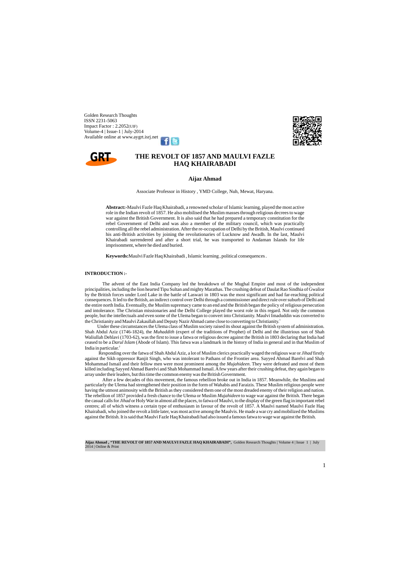Golden Research Thoughts ISSN 2231-5063 Impact Factor : 2.2052(UIF) Volume-4 | Issue-1 | July-2014 Available online at www.aygrt.isrj.ne[t](https://www.facebook.com/ashok.yakkaldevi.3)



## **THE REVOLT OF 1857 AND MAULVI FAZLE HAQ KHAIRABADI**

The advent of the East India Company led the breakdown of the Mughal Empire and most of the independent principalities, including the lion hearted Tipu Sultan and mighty Marathas. The crushing defeat of Daulat Rao Sindhia of Gwalior by the British forces under Lord Lake in the battle of Laswari in 1803 was the most significant and had far-reaching political consequences. It led to the British, an indirect control over Delhi through a commissioner and direct rule over suburb of Delhi and the entire north India. Eventually, the Muslim supremacy came to an end and the British began the policy of religious persecution and intolerance. The Christian missionaries and the Delhi College played the worst role in this regard. Not only the common people, but the intellectuals and even some of the Ulema began to convert into Christianity. Maulvi Imaduddin was converted to the Christianity and Maulvi Zakaullah and Deputy Nazir Ahmad came close to converting to Christianity.<sup>1</sup>

**Abstract:-**Maulvi Fazle Haq Khairabadi, a renowned scholar of Islamic learning, played the most active role in the Indian revolt of 1857. He also mobilised the Muslim masses through religious decrees to wage war against the British Government. It is also said that he had prepared a temporary constitution for the rebel Government of Delhi and was also a member of the military council, which was practically controlling all the rebel administration. After the re-occupation of Delhi by the British, Maulvi continued his anti-British activities by joining the revolutionaries of Lucknow and Awadh. In the last, Maulvi Khairabadi surrendered and after a short trial, he was transported to Andaman Islands for life imprisonment, where he died and buried.

**Keywords:**Maulvi Fazle Haq Khairabadi , Islamic learning , political consequences .

Under these circumstances the Ulema class of Muslim society raised its shout against the British system of administration. Shah Abdul Aziz (1746-1824), the *Muhaddith* (expert of the traditions of Prophet) of Delhi and the illustrious son of Shah Waliullah Dehlavi (1703-62), was the first to issue a fatwa or religious decree against the British in 1803 declaring that India had ceased to be a *Darul Islam* (Abode of Islam). This fatwa was a landmark in the history of India in general and in that Muslim of India in particular.<sup>2</sup>

#### **INTRODUCTION :-**

Responding over the fatwa of Shah Abdul Aziz, a lot of Muslim clerics practically waged the religious war or *Jihad* firstly against the Sikh oppressor Ranjit Singh, who was intolerant to Pathans of the Frontier area. Sayyed Ahmad Barelvi and Shah Mohammad Ismail and their fellow men were most prominent among the *Mujahideen*. They were defeated and most of them killed including Sayyed Ahmad Barelvi and Shah Mohammad Ismail. Afew years after their crushing defeat, they again began to array under their leaders, but this time the common enemy was the British Government.

After a few decades of this movement, the famous rebellion broke out in India in 1857. Meanwhile, the Muslims and particularly the Ulema had strengthened their position in the form of Wahabis and Faraizis. These Muslim religious people were having the utmost animosity with the British as they considered them one of the most dreaded enemy of their religion and nation. The rebellion of 1857 provided a fresh chance to the Ulema or Muslim *Mujahideen* to wage war against the British. There began the casual calls for *Jihad* or Holy War in almost all the places, to fatwa of Maulvi, to the display of the green flag in important rebel centres; all of which witness a certain type of enthusiasm in favour of the revolt of 1857. A Maulvi named Maulvi Fazle Haq Khairabadi, who joined the revolt a little later, was most active among the Maulvis. He made a war cry and mobilized the Muslims against the British. It is said that Maulvi Fazle Haq Khairabadi had also issued a famous fatwa to wage war against the British.

**Aijaz Ahmad , "THE REVOLT OF 1857 AND MAULVI FAZLE HAQ KHAIRABADI",** Golden Research Thoughts | Volume 4 | Issue 1 | July 2014 | Online & Print

#### **Aijaz Ahmad**

Associate Professor in History , YMD College, Nuh, Mewat, Haryana.

1

# **GRT**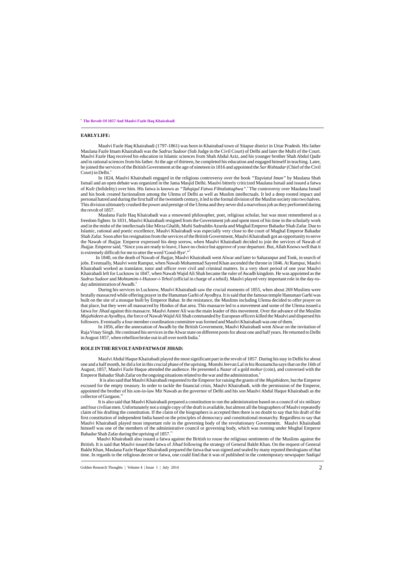Maulvi Fazle Haq Khairabadi (1797-1861) was born in Khairabad town of Sitapur district in Uttar Pradesh. His father Maulana Fazle Imam Khairabadi was the *Sadrus Sudoor*(Sub Judge in the Civil Court) of Delhi and later the Mufti of the Court. Maulvi Fazle Haq received his education in Islamic sciences from Shah Abdul Aziz, and his younger brother Shah Abdul Qadir and in rational sciences from his father. At the age of thirteen, he completed his education and engaged himself in teaching. Later, he joined the services of the British Government at the age of nineteen in 1816 and appointed the *Sar Rishtadar*(Chief of the Civil Court) in Delhi. $3$ 

#### **EARLYLIFE:**

Maulana Fazle Haq Khairabadi was a renowned philosopher, poet, religious scholar, but was most remembered as a freedom fighter. In 1831, Maulvi Khairabadi resigned from the Government job and spent most of his time in the scholarly work and in the midst of the intellectuals like Mirza Ghalib, Mufti Sadruddin Azurda and Mughal Emperor Bahadur Shah Zafar. Due to Islamic, rational and poetic excellence, Maulvi Khairabadi was especially very close to the court of Mughal Emperor Bahadur Shah Zafar. Soon after his resignation from the services of the British Government, Maulvi Khairabadi got an opportunity to serve the Nawab of Jhajjar. Emperor expressed his deep sorrow, when Maulvi Khairabadi decided to join the services of Nawab of Jhajjar. Emperor said, "Since you are ready to leave, I have no choice but approve of your departure. But, Allah Knows well that it is extremely difficult for me to utter the word 'Good-Bye'."<sup>5</sup>

In 1824, Maulvi Khairabadi engaged in the religious controversy over the book *"Taqviatul Iman"* by Maulana Shah Ismail and an open debate was organized in the Jama Masjid Delhi. Maulvi bitterly criticized Maulana Ismail and issued a fatwa of Kufr (Infidelity) over him. His fatwa is known as *"Tahqiqul Fatwa Fibtaluttaghwa"*. The controversy over Maulana Ismail and his book created factionalism among the Ulema of Delhi as well as Muslim intellectuals. It led a deep rooted impact and personal hatred and during the first half of the twentieth century, it led to the formal division of the Muslim society into two halves. This division ultimately crushed the power and prestige of the Ulema and they never did a marvelous job as they performed during the revolt of 1857.

In 1840, on the death of Nawab of Jhajjar, Maulvi Khairabadi went Alwar and later to Saharanpur and Tonk, in search of jobs. Eventually, Maulvi went Rampur, when Nawab Mohammad Sayeed Khan ascended the throne in 1846. At Rampur, Maulvi Khairabadi worked as translator, tutor and officer over civil and criminal matters. In a very short period of one year Maulvi Khairabadi left for Lucknow in 1847, when Nawab Wajid Ali Shah became the ruler of Awadh kingdom. He was appointed as the *Sadrus Sudoor* and *Mohtamim-i-Huzoor-i-Tehsil* (official in charge of a tehsil). Maulvi played very important role in the day-today administration of Awadh.<sup>6</sup>

During his services in Lucknow, Maulvi Khairabadi saw the crucial moments of 1855, when about 269 Muslims were brutally massacred while offering prayer in the Hanuman Garhi of Ayodhya. It is said that the famous temple Hanuman Garhi was built on the site of a mosque built by Emperor Babar. In the resistance, the Muslims including Ulema decided to offer prayer on that place, but they were all massacred by Hindus of that area. This massacre led to a movement and some of the Ulema issued a fatwa for *Jihad* against this massacre. Maulvi Ameer Ali was the main leader of this movement. Over the advance of the Muslim *Mujahideen* at Ayodhya, the force of Nawab Wajid Ali Shah commanded by European officers killed the Maulvi and dispersed his followers. Eventually a four member coordination committee was formed and Maulvi Khairabadi was one of them.<sup>7</sup>

In 1856, after the annexation of Awadh by the British Government, Maulvi Khairabadi went Alwar on the invitation of Raja Vinay Singh. He continued his services in the Alwar state on different posts for about one and half years. He returned to Delhi in August 1857, when rebellion broke out in all over north India. $^8$ 

Maulvi Abdul Haque Khairabadi played the most significant part in the revolt of 1857. During his stay in Delhi for about one and a half month, he did a lot in this crucial phase of the uprising. Munshi Jeevan Lal in his Roznamcha says that on the 16th of August, 1857, Maulvi Fazle Haque attended the audience. He presented a *Nazar* of a gold *mohur* (coin), and conversed with the Emperor Bahadur Shah Zafar on the ongoing situations related to the war and the administration.<sup>9</sup>

 It is also said that Maulvi Khairabadi requested to the Emperor for raising the grants of the *Mujahideen*, but the Emperor excused for the empty treasury. In order to tackle the financial crisis, Maulvi Khairabadi, with the permission of the Emperor, appointed the brother of his son-in-law Mir Nawab as the governor of Delhi and his son Maulvi Abdul Haque Khairabadi as the collector of Gurgaon. $^{10}$ 

It is also said that Maulvi Khairabadi prepared a constitution to run the administration based on a council of six military and four civilian men. Unfortunately not a single copy of the draft is available, but almost all the biographers of Maulvi repeatedly claim of his drafting the constitution. If the claim of the biographers is accepted then there is no doubt to say that his draft of the first constitution of independent India based on the principles of democracy and constitutional monarchy. Regardless to say that Maulvi Khairabadi played most important role in the governing body of the revolutionary Government. Maulvi Khairabadi himself was one of the members of the administrative council or governing body, which was running under Mughal Emperor Bahadur Shah Zafar during the uprising of  $1857$ .<sup>11</sup>

. **The Revolt Of 1857 And Maulvi Fazle Haq Khairabadi**

#### **ROLE IN THE REVOLTAND FATWAOFJIHAD:**

 Maulvi Khairabadi also issued a fatwa against the British to rouse the religious sentiments of the Muslims against the British. It is said that Maulvi issued the fatwa of *Jihad* following the strategy of General Bakht Khan. On the request of General Bakht Khan, Maulana Fazle Haque Khairabadi prepared the fatwa that was signed and sealed by many reputed theologians of that time. In regards to the religious decree or fatwa, one could find that it was of published in the contemporary newspaper *Sadiqul*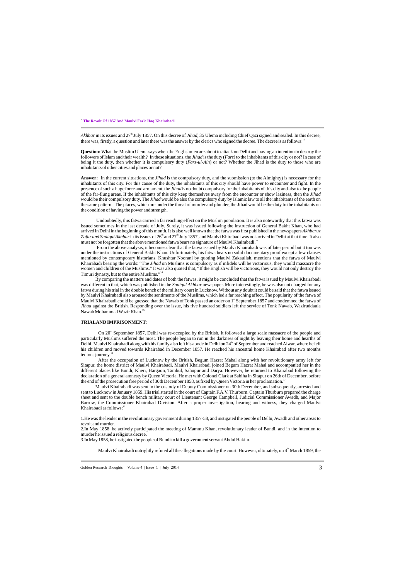**Question:**What the Muslim Ulema says when the Englishmen are about to attack on Delhi and having an intention to destroy the followers of Islam and their wealth? In these situations, the *Jihad* is the duty (*Farz*) to the inhabitants of this city or not? In case of being it the duty, then whether it is compulsory duty (*Farz-ul-Ain*) or not? Whether the Jihad is the duty to those who are inhabitants of other cities and places or not?

Undoubtedly, this fatwa carried a far reaching effect on the Muslim population. It is also noteworthy that this fatwa was issued sometimes in the last decade of July. Surely, it was issued following the instruction of General Bakht Khan, who had arrived in Delhi in the beginning of this month. It is also well known that the fatwa was first published in the newspapers *Akhbaruz*  Zafar and Sadiqul Akhbar in its issues of 26<sup>th</sup> and 27<sup>th</sup> July 1857, and Maulvi Khirabadi was not arrived in Delhi at that time. It also must not be forgotten that the above mentioned fatwa bears no signature of Maulvi Khairabadi.<sup>13</sup>

From the above analysis, it becomes clear that the fatwa issued by Maulvi Khairabadi was of later period but it too was under the instructions of General Bakht Khan. Unfortunately, his fatwa bears no solid documentary proof except a few clauses mentioned by contemporary historians. Khushtar Noorani by quoting Maulvi Zakaullah, mentions that the fatwa of Maulvi Khairabadi bearing the words: "The *Jihad* on Muslims is compulsory as if infidels will be victorious, they would massacre the women and children of the Muslims." It was also quoted that, "If the English will be victorious, they would not only destroy the Timuri dynasty, but to the entire Muslims."<sup>14</sup>

**Answer:** In the current situations, the *Jihad* is the compulsory duty, and the submission (to the Almighty) is necessary for the inhabitants of this city. For this cause of the duty, the inhabitants of this city should have power to encounter and fight. In the presence of such a huge force and armament, the *Jihad* is no doubt compulsory for the inhabitants of this city and also to the people of the far-flung areas. If the inhabitants of this city keep themselves away from the encounter or show laziness, then the *Jihad*  would be their compulsory duty. The *Jihad* would be also the compulsory duty by Islamic law to all the inhabitants of the earth on the same pattern. The places, which are under the threat of murder and plunder, the Jihad would be the duty to the inhabitants on the condition of having the power and strength.

By comparing the matters and dates of both the fatwas, it might be concluded that the fatwa issued by Maulvi Khairabadi was different to that, which was published in the *Sadiqul Akhbar* newspaper. More interestingly, he was also not charged for any fatwa during his trial in the double bench of the military court in Lucknow. Without any doubt it could be said that the fatwa issued by Maulvi Khairabadi also aroused the sentiments of the Muslims, which led a far reaching affect. The popularity of the fatwa of Maulvi Khairabadi could be guessed that the Nawab of Tonk passed an order on 1<sup>st</sup> September 1857 and condemned the fatwa of *Jihad* against the British. Responding over the issue, his five hundred soldiers left the service of Tonk Nawab, Waziruddaula Nawab Mohammad Wazir Khan.<sup>15</sup>

After the occupation of Lucknow by the British, Begum Hazrat Mahal along with her revolutionary army left for Sitapur, the home district of Maulvi Khairabadi. Maulvi Khairabadi joined Begum Hazrat Mahal and accompanied her in the different places like Bundi, Kheri, Hargaon, Tambul, Sahupur and Darya. However, he returned to Khairabad following the declaration of a general amnesty by Queen Victoria. He met with Colonel Clark at Sabiha in Sitapur on 26th of December, before the end of the prosecution free period of 30th December 1858, as fixed by Queen Victoria in her proclamation.

Maulvi Khairabadi was sent in the custody of Deputy Commissioner on 30th December, and subsequently, arrested and sent to Lucknow in January 1859. His trial started in the court of Captain F.A.V. Thurburn. Captain Thurburn prepared the charge sheet and sent to the double bench military court of Lieutenant George Campbell, Judicial Commissioner Awadh, and Major Barrow, the Commissioner Khairabad Division. After a proper investigation, hearing and witness, they charged Maulvi Khairabadi as follows:<sup>18</sup>

. **The Revolt Of 1857 And Maulvi Fazle Haq Khairabadi**

Akhbar in its issues and 27<sup>th</sup> July 1857. On this decree of *Jihad*, 35 Ulema including Chief Qazi signed and sealed. In this decree, there was, firstly, a question and later there was the answer by the clerics who signed the decree. The decree is as follows:

#### **TRIALAND IMPRISONMENT:**

On 20<sup>th</sup> September 1857, Delhi was re-occupied by the British. It followed a large scale massacre of the people and particularly Muslims suffered the most. The people began to run in the darkness of night by leaving their home and hearths of Delhi. Maulvi Khairabadi along with his family also left his abode in Delhi on 24<sup>th</sup> of September and reached Alwar, where he left his children and moved towards Khairabad in December 1857. He reached his ancestral home Khairabad after two months tedious journey.<sup>16</sup>

1.He was the leader in the revolutionary government during 1857-58, and instigated the people of Delhi, Awadh and other areas to revolt and murder.

2.In May 1858, he actively participated the meeting of Mammu Khan, revolutionary leader of Bundi, and in the intention to murder he issued a religious decree.

3.In May 1858, he instigated the people of Bundi to kill a government servant Abdul Hakim.

Maulvi Khairabadi outrightly refuted all the allegations made by the court. However, ultimately, on 4<sup>th</sup> March 1859, the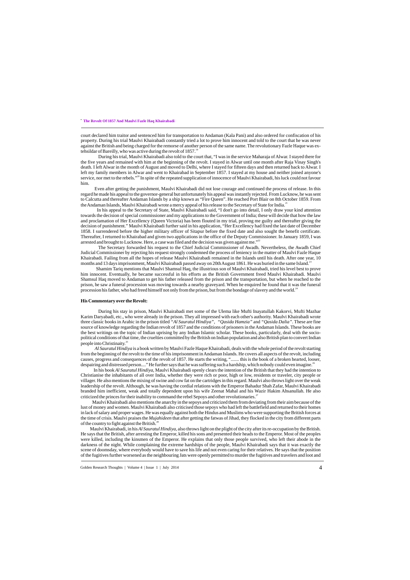court declared him traitor and sentenced him for transportation to Andaman (Kala Pani) and also ordered for confiscation of his property. During his trial Maulvi Khairabadi constantly tried a lot to prove him innocent and told to the court that he was never against the British and being charged for the remorse of another person of the same name. The revolutionary Fazle Haque was extehsildar of Bareilly, who was active during the revolt of 1857.<sup>15</sup>

Even after getting the punishment, Maulvi Khairabadi did not lose courage and continued the process of release. In this regard he made his appeal to the governor-general but unfortunately his appeal was instantly rejected. From Lucknow, he was sent to Calcutta and thereafter Andaman Islands by a ship known as "Fire Queen". He reached Port Blair on 8th October 1859. From the Andaman Islands, Maulvi Khairabadi wrote a mercy appeal of his release to the Secretary of State for India.<sup>21</sup>

During his trial, Maulvi Khairabadi also told to the court that, "I was in the service Maharaja of Alwar. I stayed there for the five years and remained with him at the beginning of the revolt. I stayed in Alwar until one month after Raja Vinay Singh's death. I left Alwar in the month of August and moved to Delhi, where I stayed for fifteen days and then returned back to Alwar. I left my family members in Alwar and went to Khairabad in September 1857. I stayed at my house and neither joined anyone's service, nor met to the rebels."<sup>20</sup> In spite of the repeated supplication of innocence of Maulvi Khairabadi, his luck could not favour him.

 In his appeal to the Secretary of State, Maulvi Khairabadi said, "I don't go into detail, I only draw your kind attention towards the decision of special commissioner and my applications to the Government of India; these will decide that how the law and proclamation of Her Excellency (Queen Victoria) has been flouted in my trial, proving me guilty and thereafter giving the decision of punishment." Maulvi Khairabadi further said in his application, "Her Excellency had fixed the last date of December 1858. I surrendered before the higher military officer of Sitapur before the fixed date and also sought the benefit certificate. Thereafter, I returned to Khairabad and given two applications in the office of the Deputy Commissioner. In January 1859, I was arrested and brought to Lucknow. Here, a case was filed and the decision was given against me."<sup>22</sup>

The Secretary forwarded his request to the Chief Judicial Commissioner of Awadh. Nevertheless, the Awadh Chief Judicial Commissioner by rejecting his request strongly condemned the process of leniency in the matter of Maulvi Fazle Haque Khairabadi. Failing from all the hopes of release Maulvi Khairabadi remained in the Islands until his death. After one year, 10 months and 13 days imprisonment, Maulyi Khairabadi passed away on 20th August 1861. He was buried in the same Island.<sup>2</sup>

Shamim Tariq mentions that Maulvi Shamsul Haq, the illustrious son of Maulvi Khairabadi, tried his level best to prove him innocent. Eventually, he became successful in his efforts as the British Government freed Maulvi Khairabadi. Maulvi Shamsul Haq moved to Andaman to get his father released from the prison and the transportation, but when he reached to the prison, he saw a funeral procession was moving towards a nearby graveyard. When he enquired he found that it was the funeral procession his father, who had freed himself not only from the prison, but from the bondage of slavery and the world.<sup>24</sup>

During his stay in prison, Maulvi Khairabadi met some of the Ulema like Mufti Inayatullah Kakorvi, Mufti Mazhar Karim Daryabadi, etc., who were already in the prison. They all impressed with each other's authority. Maulvi Khairabadi wrote three classic books in Arabic in the prison titled *"Al Sauratul Hindiya", "Qasida Hamzia"* and *"Qasida Dalia"*. These are fine source of knowledge regarding the Indian revolt of 1857 and the conditions of prisoners in the Andaman Islands. These books are the best writings on the topic of Indian uprising by any Indian Islamic scholar. These books, particularly, deal with the sociopolitical conditions of that time, the cruelties committed by the British on Indian population and also British plan to convert Indian people into Christinaity.<sup>25</sup>

 *Al Sauratul Hindiya* is a book written by Maulvi Fazle Haque Khairabadi, deals with the whole period of the revolt starting from the beginning of the revolt to the time of his imprisonment in Andaman Islands. He covers all aspects of the revolt, including causes, progress and consequences of the revolt of 1857. He starts the writing, "....... this is the book of a broken hearted, looser, despairing and distressed person...." He further says that he was suffering such a hardship, which nobody could even imagine.<sup>26</sup>

In his book *Al Sauratul Hindiya*, Maulvi Khairabadi openly clears the intention of the British that they had the intention to Christianise the inhabitants of all over India, whether they were rich or poor, high or low, residents or traveler, city people or villager. He also mentions the mixing of swine and cow fat on the cartridges in this regard. Maulvi also throws light over the weak leadership of the revolt. Although, he was having the cordial relations with the Emperor Bahadur Shah Zafar, Maulvi Khairabadi branded him inefficient, weak and totally dependent upon his wife Zeenat Mahal and his Wazir Hakim Ahsanullah. He also criticized the princes for their inability to command the rebel Sepoys and other revolutionaries.<sup>27</sup>

 Maulvi Khairabadi also mentions the anarchy in the sepoys and criticized them from deviating from their aim because of the lust of money and women. Maulvi Khairabadi also criticised those sepoys who had left the battlefield and returned to their homes in lack of salary and proper wages. He was equally against both the Hindus and Muslims who were supporting the British forces at the time of crisis. Maulvi praises the *Mujahideen* that after getting the fatwas of Jihad, they flocked in the city from different parts of the country to fight against the British.<sup>2</sup>

## . **The Revolt Of 1857 And Maulvi Fazle Haq Khairabadi**

#### **His Commentary over the Revolt:**

 Maulvi Khairabadi, in his*Al Sauratul Hindiya*, also throws light on the plight of the city after its re-occupation by the British. He says that the British, after arresting the Emperor, killed his sons and presented their heads to the Emperor. Most of the peoples were killed, including the kinsmen of the Emperor. He explains that only those people survived, who left their abode in the darkness of the night. While complaining the extreme hardships of the people, Maulvi Khairabadi says that it was exactly the scene of doomsday, where everybody would have to save his life and not even caring for their relatives. He says that the position of the fugitives further worsened as the neighbouring Jats were openly permitted to murder the fugitives and travelers and loot and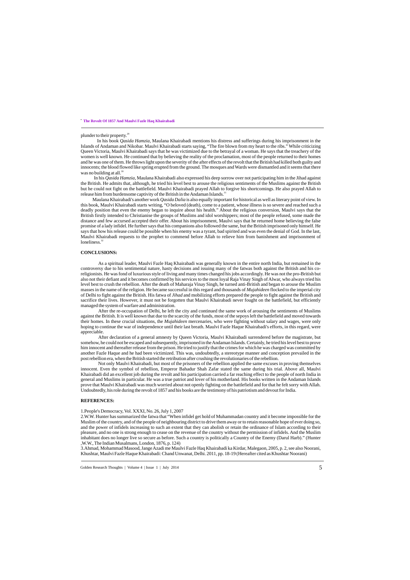In his book *Qasida Hamzia,* Maulana Khairabadi mentions his distress and sufferings during his imprisonment in the Islands of Andaman and Nikobar. Maulvi Khairabadi starts saying, "The fire blown from my heart to the ribs." While criticizing Queen Victoria, Maulvi Khairabadi says that he was victimized due to the betrayal of a woman. He says that the treachery of the women is well known. He continued that by believing the reality of the proclamation, most of the people returned to their homes and he was one of them. He throws light upon the severity of the after effects of the revolt that the British had killed both guilty and innocents; the blood flowed like spring erupted from the ground. The mosques and Wards were dismantled and it seems that there was no building at all. $30$ 

In his *Qasida Hamzia*, Maulana Khairabadi also expressed his deep sorrow over not participating him in the Jihad against the British. He admits that, although, he tried his level best to arouse the religious sentiments of the Muslims against the British but he could not fight on the battlefield. Maulvi Khairabadi prayed Allah to forgive his shortcomings. He also prayed Allah to release him from burdensome captivity of the British in the Andaman Islands.<sup>31</sup>

 Maulana Khairabadi's another work *Qasida Dalia* is also equally important for historical as well as literary point of view. In this book, Maulvi Khairabadi starts writing, "O beloved (death), come to a patient, whose illness is so severe and reached such a deadly position that even the enemy began to inquire about his health." About the religious conversion, Maulvi says that the British firstly intended to Christianise the groups of Muslims and idol worshippers; most of the people refused, some made the distance and few accursed accepted their offer. About his imprisonment, Maulvi says that he returned home believing the false promise of a lady infidel. He further says that his companions also followed the same, but the British imprisoned only himself. He says that how his release could be possible when his enemy was a tyrant, bad spirited and was even the denial of God. In the last, Maulvi Khairabadi requests to the prophet to commend before Allah to relieve him from banishment and imprisonment of loneliness.<sup>32</sup>

#### **CONCLUSIONS:**

As a spiritual leader, Maulvi Fazle Haq Khairabadi was generally known in the entire north India, but remained in the controversy due to his sentimental nature, hasty decisions and issuing many of the fatwas both against the British and his coreligionists. He was fond of luxurious style of living and many times changed his jobs accordingly. He was not the pro-British but also not their defiant and it becomes confirmed by his services to the most loyal Raja Vinay Singh of Alwar, who always tried his level best to crush the rebellion. After the death of Maharaja Vinay Singh, he turned anti-British and began to arouse the Muslim masses in the name of the religion. He became successful in this regard and thousands of *Mujahideen* flocked to the imperial city of Delhi to fight against the British. His fatwa of *Jihad* and mobilizing efforts prepared the people to fight against the British and sacrifice their lives. However, it must not be forgotten that Maulvi Khairabadi never fought on the battlefield, but efficiently managed the system of warfare and administration.

. **The Revolt Of 1857 And Maulvi Fazle Haq Khairabadi**

#### plunder to their property.<sup>29</sup>

After the re-occupation of Delhi, he left the city and continued the same work of arousing the sentiments of Muslims against the British. It is well known that due to the scarcity of the funds, most of the sepoys left the battlefield and moved towards their homes. In these crucial situations, the *Mujahideen* mercenaries, who were fighting without salary and wages, were only hoping to continue the war of independence until their last breath. Maulvi Fazle Haque Khairabadi's efforts, in this regard, were appreciable.

After declaration of a general amnesty by Queen Victoria, Maulvi Khairabadi surrendered before the magistrate, but somehow, he could not be escaped and subsequently, imprisoned in the Andaman Islands. Certainly, he tried his level best to prove him innocent and thereafter release from the prison. He tried to justify that the crimes for which he was charged was committed by another Fazle Haque and he had been victimized. This was, undoubtedly, a stereotype manner and conception prevailed in the post rebellion era, when the British started the retribution after crushing the revolutionaries of the rebellion.

Not only Maulvi Khairabadi, but most of the prisoners of the rebellion applied the same excuses in proving themselves innocent. Even the symbol of rebellion, Emperor Bahadur Shah Zafar stated the same during his trial. Above all, Maulvi Khairabadi did an excellent job during the revolt and his participation carried a far reaching effect to the people of north India in general and Muslims in particular. He was a true patriot and lover of his motherland. His books written in the Andaman Islands prove that Maulvi Khairabadi was much worried about not openly fighting on the battlefield and for that he felt sorry with Allah. Undoubtedly, his role during the revolt of 1857 and his books are the testimony of his patriotism and devout for India.

#### **REFERENCES:**

#### 1.People's Democracy, Vol. XXXI, No. 26, July 1, 2007

2.W.W. Hunter has summarized the fatwa that "When infidel get hold of Muhammadan country and it become impossible for the Muslim of the country, and of the people of neighbouring district to drive them away or to retain reasonable hope of ever doing so, and the power of infidels increasing to such an extent that they can abolish or retain the ordinance of Islam according to their pleasure, and no one is strong enough to cease on the revenue of the country without the permission of infidels. And the Muslim inhabitant does no longer live so secure as before. Such a country is politically a Country of the Enemy (Darul Harb)." (Hunter ,W.W., The Indian Musalmans, London, 1876, p. 124)

3.Ahmad, Mohammad Masood, Jange Azadi me Maulvi Fazle Haq Khairabadi ka Kirdar, Malegaon, 2005, p. 2, see also Noorani, Khushtar, Maulvi Fazle Haque Khairabadi: Chand Unwanat, Delhi. 2011, pp. 18-19 (Hereafter cited as Khushtar Noorani)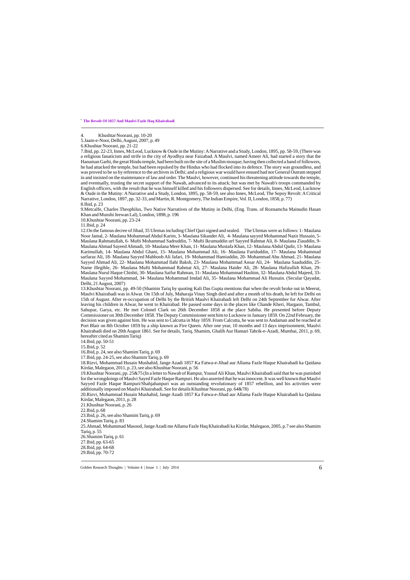4. Khushtar Noorani, pp. 10-20

5.Jaam-e-Noor, Delhi, August, 2007, p. 49

6.Khushtar Noorani, pp. 21-22

7.Ibid, pp. 22-23, Innes, McLeod, Lucknow & Oude in the Mutiny: ANarrative and a Study, London, 1895, pp. 58-59, (There was a religious fanaticism and strife in the city of Ayodhya near Faizabad. A Maulvi, named Ameer Ali, had started a story that the Hanuman Garhi, the great Hindu temple, had been built on the site of a Muslim mosque; having then collected a band of followers, he had attacked the temple, but had been repulsed by the Hindus who had flocked into its defence. The story was groundless, and was proved to be so by reference to the archives in Delhi; and a religious war would have ensued had not General Outram stepped in and insisted on the maintenance of law and order. The Maulvi, however, continued his threatening attitude towards the temple, and eventually, trusting the secret support of the Nawab, advanced to its attack; but was met by Nawab's troops commanded by English officers, with the result that he was himself killed and his followers dispersed. See for details, Innes, McLeod, Lucknow & Oude in the Mutiny: ANarrative and a Study, London, 1895, pp. 58-59, see also Innes, McLeod, The Sepoy Revolt: ACritical Narrative, London, 1897, pp. 32-33, and Martin, R. Montgomery, The Indian Empire, Vol. II, London, 1858, p. 77) 8.Ibid, p. 23

9.Metcalfe, Charles Theophilus, Two Native Narratives of the Mutiny in Delhi, (Eng. Trans. of Roznamcha Mainudin Hasan Khan and Munshi Jeewan Lal), London, 1898, p. 196

10.Khushtar Noorani, pp. 23-24

11.Ibid, p. 24

12.On the famous decree of Jihad, 35 Ulemas including Chief Qazi signed and sealed. The Ulemas were as follows: 1- Maulana Noor Jamal, 2- Maulana Mohammad Abdul Karim, 3- Maulana Sikander Ali, 4- Maulana sayyed Mohammad Nazir Hussain, 5- Maulana Rahmatullah, 6- Mufti Mohammad Sadruddin, 7- Mufti Ikramuddin urf Sayyed Rahmat Ali, 8- Maulana Ziauddin, 9- Maulana Ahmad Sayeed Ahmadi, 10- Maulana Meer Khan, 11- Maulana Mustafa Khan, 12- Maulana Abdul Qadir, 13- Maulana Karimullah, 14- Maulana Abdul Ghani, 15- Maulana Mohammad Ali, 16- Maulana Fariduddin, 17- Maulana Mohammad sarfaraz Ali, 18- Maulana Sayyed Mahboob Ali Jafari, 19- Mohammad Hamiuddin, 20- Mohammad Abu Ahmad, 21- Maulana Sayyed Ahmad Ali, 22- Maulana Mohammad Ilahi Baksh, 23- Maulana Mohammad Ansar Ali, 24- Maulana Saaduddin, 25- Name illegible, 26- Maulana Mufti Mohammad Rahmat Ali, 27- Maulana Haider Ali, 28- Maulana Hafizullzh Khan, 29- Maulana Nurul Haque Chishti, 30- Maulana Saifur Rahman, 31- Maulana Mohammad Hashim, 32- Maulana Abdul Majeed, 33- Maulana Sayyed Mohammad, 34- Maulana Mohammad Imdad Ali, 35- Maulana Mohammad Ali Hussain. (Secular Qayadat, Delhi, 21 August, 2007)

. **The Revolt Of 1857 And Maulvi Fazle Haq Khairabadi**

13.Khushtar Noorani, pp. 49-50 (Shamim Tariq by quoting Kali Das Gupta mentions that when the revolt broke out in Meerut, Maulvi Khairabadi was in Alwar. On 15th of July, Maharaja Vinay Singh died and after a month of his death, he left for Delhi on 15th of August. After re-occupation of Delhi by the British Maulvi Khairabadi left Delhi on 24th September for Alwar. After leaving his children in Alwar, he went to Khairabad. He passed some days in the places like Chande Kheri, Hargaon, Tambul, Sahupur, Garya, etc. He met Colonel Clark on 26th December 1858 at the place Sabiha. He presented before Deputy Commissioner on 30th December 1858. The Deputy Commissioner sent him to Lucknow in January 1859. On 22nd February, the decision was given against him. He was sent to Calcutta in May 1859. From Calcutta, he was sent to Andaman and he reached at Port Blair on 8th October 1859 by a ship known as Fire Queen. After one year, 10 months and 13 days imprisonment, Maulvi Khairabadi died on 20th August 1861. See for details, Tariq, Shamim, Ghalib Aur Hamari Tahrik-e-Azadi, Mumbai, 2011, p. 69, hereafter cited as Shamim Tariq)

14.Ibid, pp. 50-51

15.Ibid, p. 52

16.Ibid, p. 24, see also Shamim Tariq, p. 69

17.Ibid, pp. 24-25, see also Shamim Tariq, p. 69

18.Rizvi, Mohammad Husain Mushahid, Jange Azadi 1857 Ka Fatwa-e-Jihad aur Allama Fazle Haque Khairabadi ka Qaidana Kirdar, Malegaon, 2011, p. 23, see also Khushtar Noorani, p. 56

19.Khushtar Noorani, pp. 25&75 (In a letter to Nawab of Rampur, Yousuf Ali Khan, Maulvi Khairabadi said that he was punished for the wrongdoings of Maulvi Sayed Fazle Haque Rampuri. He also asserted that he was innocent. It was well known that Maulvi Sayyed Fazle Haque Rampuri/Shahjahanpuri was an outstanding revolutionary of 1857 rebellion, and his activities were additionally imposed on Maulvi Khairabadi. See for details Khushtar Noorani, pp. 64&78)

20.Rizvi, Mohammad Husain Mushahid, Jange Azadi 1857 Ka Fatwa-e-Jihad aur Allama Fazle Haque Khairabadi ka Qaidana Kirdar, Malegaon, 2011, p. 28

21.Khushtar Noorani, p. 26

23.Ibid, p. 26, see also Shamim Tariq, p. 69

24.Shamim Tariq, p. 83

25.Ahmad, Mohammad Masood, Jange Azadi me Allama Fazle Haq Khairabadi ka Kirdar, Malegaon, 2005, p.7 see also Shamim Tariq, p. 55

26.Shamim Tariq, p. 61

27.Ibid, pp. 63-65 28.Ibid, pp. 64-68 29.Ibid, pp. 70-72

<sup>22.</sup>Ibid, p. 68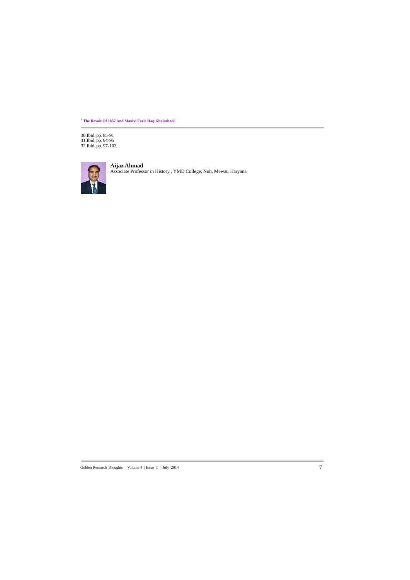30.Ibid, pp. 85-91 31.Ibid, pp. 94-95 32.Ibid, pp. 97-103



. **The Revolt Of 1857 And Maulvi Fazle Haq Khairabadi**

**Aijaz Ahmad** Associate Professor in History , YMD College, Nuh, Mewat, Haryana.